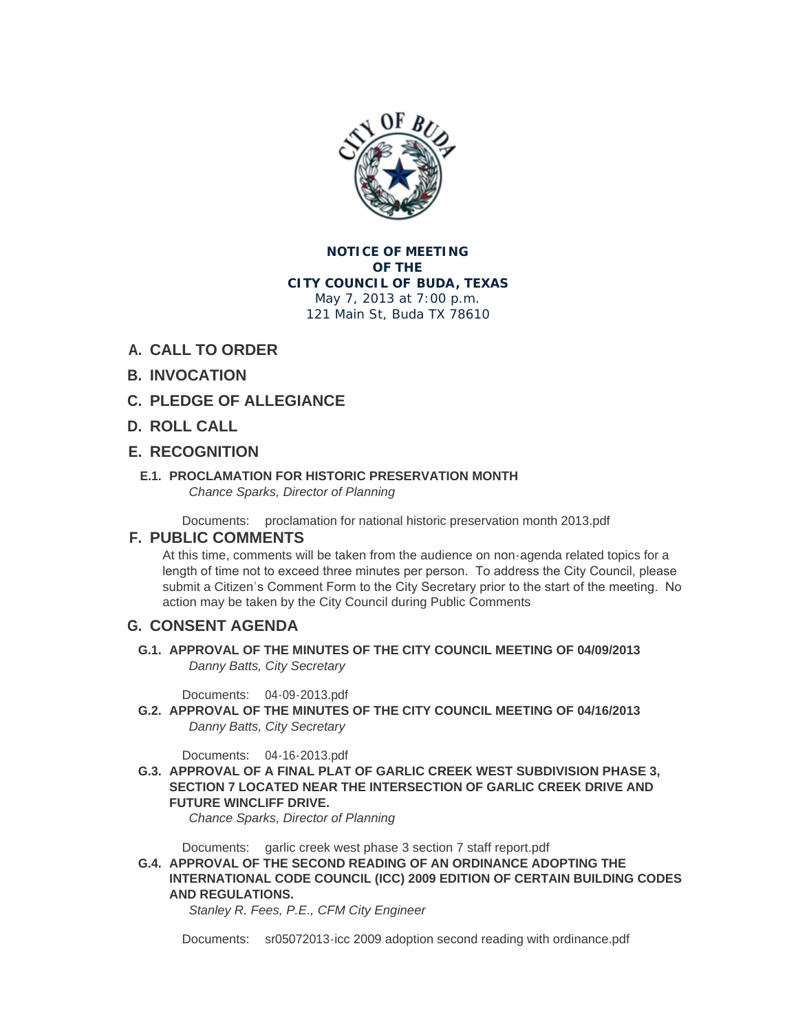

**NOTICE OF MEETING OF THE CITY COUNCIL OF BUDA, TEXAS** May 7, 2013 at 7:00 p.m. 121 Main St, Buda TX 78610

# **CALL TO ORDER A.**

# **INVOCATION B.**

- **PLEDGE OF ALLEGIANCE C.**
- **ROLL CALL D.**

## **RECOGNITION E.**

#### **PROCLAMATION FOR HISTORIC PRESERVATION MONTH E.1.** *Chance Sparks, Director of Planning*

Documents: [proclamation for national historic preservation month 2013.pdf](http://ci.buda.tx.us/AgendaCenter/ViewFile/Item/288?fileID=745)

## **PUBLIC COMMENTS F.**

At this time, comments will be taken from the audience on non-agenda related topics for a length of time not to exceed three minutes per person. To address the City Council, please submit a Citizen's Comment Form to the City Secretary prior to the start of the meeting. No action may be taken by the City Council during Public Comments

## **CONSENT AGENDA G.**

**APPROVAL OF THE MINUTES OF THE CITY COUNCIL MEETING OF 04/09/2013 G.1.** *Danny Batts, City Secretary*

[04-09-2013.pdf](http://ci.buda.tx.us/AgendaCenter/ViewFile/Item/299?fileID=739) Documents:

**APPROVAL OF THE MINUTES OF THE CITY COUNCIL MEETING OF 04/16/2013 G.2.** *Danny Batts, City Secretary*

[04-16-2013.pdf](http://ci.buda.tx.us/AgendaCenter/ViewFile/Item/294?fileID=738) Documents:

**APPROVAL OF A FINAL PLAT OF GARLIC CREEK WEST SUBDIVISION PHASE 3, G.3. SECTION 7 LOCATED NEAR THE INTERSECTION OF GARLIC CREEK DRIVE AND FUTURE WINCLIFF DRIVE.**

*Chance Sparks, Director of Planning*

Documents: [garlic creek west phase 3 section 7 staff report.pdf](http://ci.buda.tx.us/AgendaCenter/ViewFile/Item/287?fileID=724)

**APPROVAL OF THE SECOND READING OF AN ORDINANCE ADOPTING THE G.4. INTERNATIONAL CODE COUNCIL (ICC) 2009 EDITION OF CERTAIN BUILDING CODES AND REGULATIONS.** 

*Stanley R. Fees, P.E., CFM City Engineer* 

Documents: [sr05072013-icc 2009 adoption second reading with ordinance.pdf](http://ci.buda.tx.us/AgendaCenter/ViewFile/Item/282?fileID=716)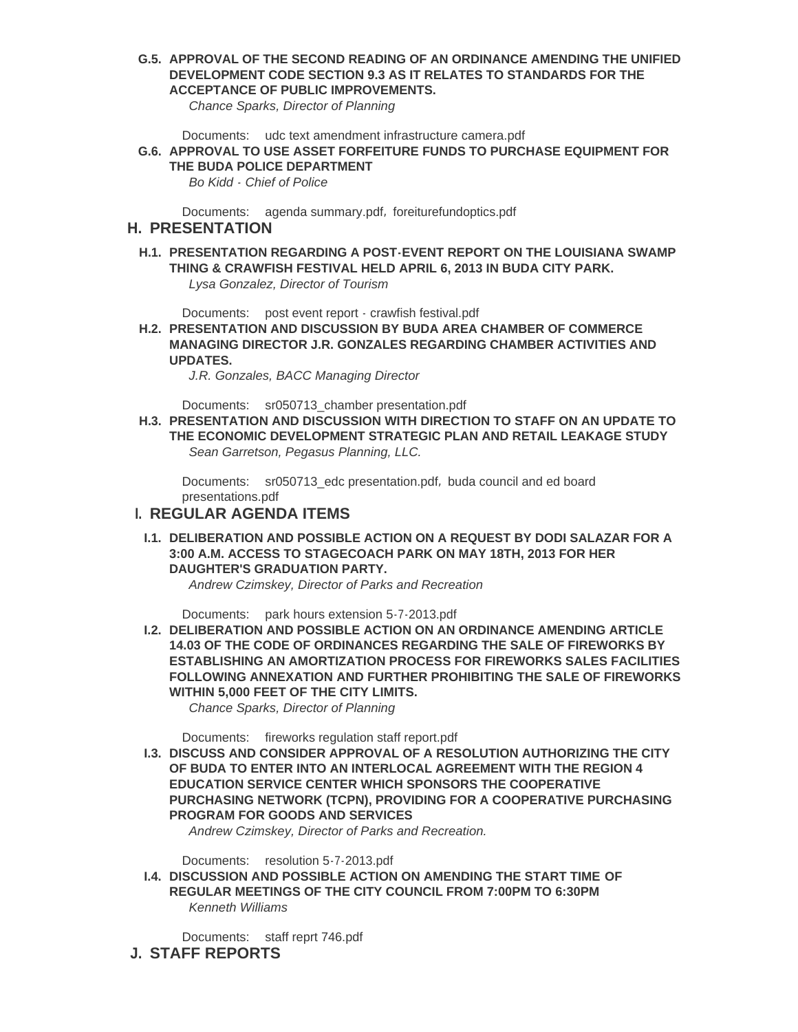**APPROVAL OF THE SECOND READING OF AN ORDINANCE AMENDING THE UNIFIED G.5. DEVELOPMENT CODE SECTION 9.3 AS IT RELATES TO STANDARDS FOR THE ACCEPTANCE OF PUBLIC IMPROVEMENTS.**

*Chance Sparks, Director of Planning*

Documents: [udc text amendment infrastructure camera.pdf](http://ci.buda.tx.us/AgendaCenter/ViewFile/Item/289?fileID=725)

**APPROVAL TO USE ASSET FORFEITURE FUNDS TO PURCHASE EQUIPMENT FOR G.6. THE BUDA POLICE DEPARTMENT**

*Bo Kidd - Chief of Police*

Documents: [agenda summary.pdf](http://ci.buda.tx.us/AgendaCenter/ViewFile/Item/295?fileID=747), [foreiturefundoptics.pdf](http://ci.buda.tx.us/AgendaCenter/ViewFile/Item/295?fileID=731)

#### **PRESENTATION H.**

**PRESENTATION REGARDING A POST-EVENT REPORT ON THE LOUISIANA SWAMP H.1. THING & CRAWFISH FESTIVAL HELD APRIL 6, 2013 IN BUDA CITY PARK.** *Lysa Gonzalez, Director of Tourism*

Documents: [post event report - crawfish festival.pdf](http://ci.buda.tx.us/AgendaCenter/ViewFile/Item/291?fileID=728)

**PRESENTATION AND DISCUSSION BY BUDA AREA CHAMBER OF COMMERCE H.2. MANAGING DIRECTOR J.R. GONZALES REGARDING CHAMBER ACTIVITIES AND UPDATES.** 

*J.R. Gonzales, BACC Managing Director*

Documents: [sr050713\\_chamber presentation.pdf](http://ci.buda.tx.us/AgendaCenter/ViewFile/Item/284?fileID=729)

**PRESENTATION AND DISCUSSION WITH DIRECTION TO STAFF ON AN UPDATE TO H.3. THE ECONOMIC DEVELOPMENT STRATEGIC PLAN AND RETAIL LEAKAGE STUDY** *Sean Garretson, Pegasus Planning, LLC.*

Documents: [sr050713\\_edc presentation.pdf](http://ci.buda.tx.us/AgendaCenter/ViewFile/Item/283?fileID=721), buda council and ed board presentations.pdf

### **REGULAR AGENDA ITEMS I.**

**DELIBERATION AND POSSIBLE ACTION ON A REQUEST BY DODI SALAZAR FOR A I.1. 3:00 A.M. ACCESS TO STAGECOACH PARK ON MAY 18TH, 2013 FOR HER DAUGHTER'S GRADUATION PARTY.**

*Andrew Czimskey, Director of Parks and Recreation*

Documents: [park hours extension 5-7-2013.pdf](http://ci.buda.tx.us/AgendaCenter/ViewFile/Item/298?fileID=737)

**DELIBERATION AND POSSIBLE ACTION ON AN ORDINANCE AMENDING ARTICLE I.2. 14.03 OF THE CODE OF ORDINANCES REGARDING THE SALE OF FIREWORKS BY ESTABLISHING AN AMORTIZATION PROCESS FOR FIREWORKS SALES FACILITIES FOLLOWING ANNEXATION AND FURTHER PROHIBITING THE SALE OF FIREWORKS WITHIN 5,000 FEET OF THE CITY LIMITS.**

*Chance Sparks, Director of Planning*

Documents: [fireworks regulation staff report.pdf](http://ci.buda.tx.us/AgendaCenter/ViewFile/Item/290?fileID=742)

**DISCUSS AND CONSIDER APPROVAL OF A RESOLUTION AUTHORIZING THE CITY I.3. OF BUDA TO ENTER INTO AN INTERLOCAL AGREEMENT WITH THE REGION 4 EDUCATION SERVICE CENTER WHICH SPONSORS THE COOPERATIVE PURCHASING NETWORK (TCPN), PROVIDING FOR A COOPERATIVE PURCHASING PROGRAM FOR GOODS AND SERVICES**

*Andrew Czimskey, Director of Parks and Recreation.*

Documents: [resolution 5-7-2013.pdf](http://ci.buda.tx.us/AgendaCenter/ViewFile/Item/297?fileID=736)

**DISCUSSION AND POSSIBLE ACTION ON AMENDING THE START TIME OF I.4. REGULAR MEETINGS OF THE CITY COUNCIL FROM 7:00PM TO 6:30PM** *Kenneth Williams*

Documents: [staff reprt 746.pdf](http://ci.buda.tx.us/AgendaCenter/ViewFile/Item/300?fileID=748)

**STAFF REPORTS J.**